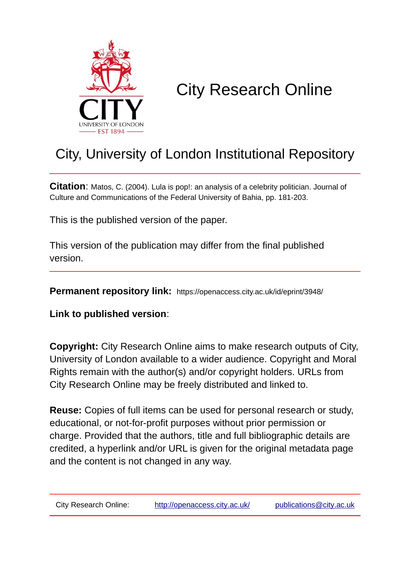

# City Research Online

## City, University of London Institutional Repository

**Citation**: Matos, C. (2004). Lula is pop!: an analysis of a celebrity politician. Journal of Culture and Communications of the Federal University of Bahia, pp. 181-203.

This is the published version of the paper.

This version of the publication may differ from the final published version.

**Permanent repository link:** https://openaccess.city.ac.uk/id/eprint/3948/

**Link to published version**:

**Copyright:** City Research Online aims to make research outputs of City, University of London available to a wider audience. Copyright and Moral Rights remain with the author(s) and/or copyright holders. URLs from City Research Online may be freely distributed and linked to.

**Reuse:** Copies of full items can be used for personal research or study, educational, or not-for-profit purposes without prior permission or charge. Provided that the authors, title and full bibliographic details are credited, a hyperlink and/or URL is given for the original metadata page and the content is not changed in any way.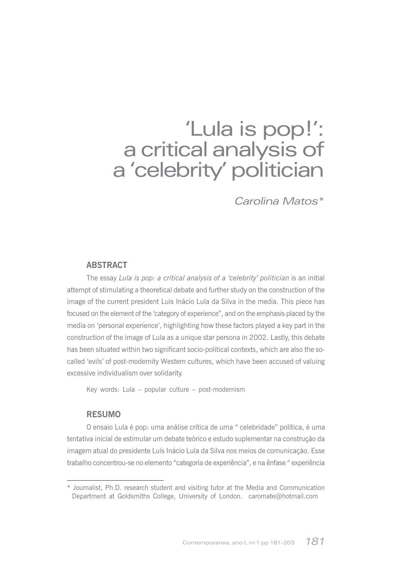## 'Lula is pop!': a critical analysis of a 'celebrity' politician

Carolina Matos\*

#### **ARSTRACT**

The essay Lula is pop: a critical analysis of a 'celebrity' politician is an initial attempt of stimulating a theoretical debate and further study on the construction of the image of the current president Luis Inácio Lula da Silva in the media. This piece has focused on the element of the 'category of experience", and on the emphasis placed by the media on 'personal experience', highlighting how these factors played a key part in the construction of the image of Lula as a unique star persona in 2002. Lastly, this debate has been situated within two significant socio-political contexts, which are also the socalled 'evils' of post-modernity Western cultures, which have been accused of valuing excessive individualism over solidarity.

Key words: Lula - popular culture - post-modernism

#### **RESUMO**

O ensaio Lula é pop: uma análise crítica de uma " celebridade" política, é uma tentativa inicial de estimular um debate teórico e estudo suplementar na construção da imagem atual do presidente Luís Inácio Lula da Silva nos meios de comunicação. Esse trabalho concentrou-se no elemento "categoria de experiência", e na ênfase "experiência

<sup>\*</sup> Journalist, Ph.D. research student and visiting tutor at the Media and Communication Department at Goldsmiths College, University of London. caromate@hotmail.com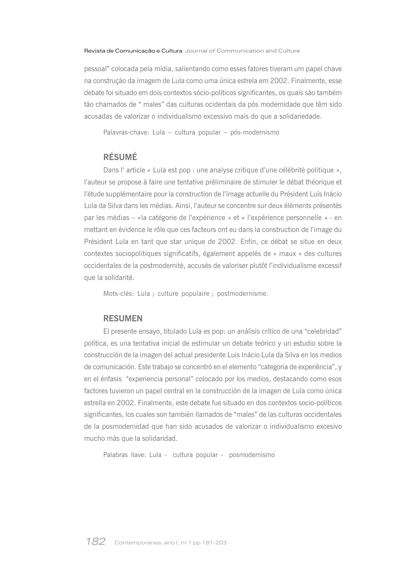pessoal" colocada pela mídia, salientando como esses fatores tiveram um papel chave na construção da imagem de Lula como uma única estrela em 2002. Finalmente, esse debate foi situado em dois contextos sócio-políticos significantes, os quais são também tão chamados de " males" das culturas ocidentais da pós modernidade que têm sido acusadas de valorizar o individualismo excessivo mais do que a solidariedade.

Palavras-chave: Lula - cultura popular - pós-modernismo

#### **RÉSUMÉ**

Dans l'article « Lula est pop : une analyse critique d'une célébrité politique », l'auteur se propose à faire une tentative préliminaire de stimuler le débat théorique et l'étude supplémentaire pour la construction de l'image actuelle du Président Luís Inácio Lula da Silva dans les médias. Ainsi, l'auteur se concentre sur deux éléments présentés par les médias - «la catégorie de l'expérience » et « l'expérience personnelle » - en mettant en évidence le rôle que ces facteurs ont eu dans la construction de l'image du Président Lula en tant que star unique de 2002. Enfin, ce débat se situe en deux contextes sociopolitiques significatifs, également appelés de « maux » des cultures occidentales de la postmodernité, accusés de valoriser plutôt l'individualisme excessif que la solidarité.

Mots-clés: Lula ; culture populaire ; postmodernisme.

#### **RESUMEN**

El presente ensayo, titulado Lula es pop: un análisis crítico de una "celebridad" política, es una tentativa inicial de estimular un debate teórico y un estudio sobre la construcción de la imagen del actual presidente Luis Inácio Lula da Silva en los medios de comunicación. Este trabajo se concentró en el elemento "categoria de experiência", y en el énfasis "experiencia personal" colocado por los medios, destacando como esos factores tuvieron un papel central en la construcción de la imagen de Lula como única estrella en 2002. Finalmente, este debate fue situado en dos contextos socio-políticos significantes, los cuales son también llamados de "males" de las culturas occidentales de la posmodernidad que han sido acusados de valorizar o individualismo excesivo mucho más que la solidaridad.

Palabras llave: Lula - cultura popular - posmodernismo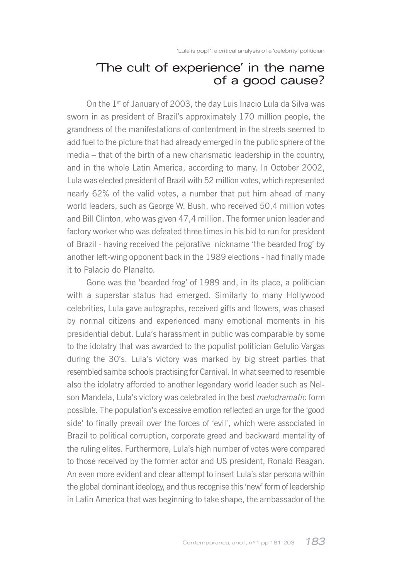## The cult of experience' in the name of a good cause?

On the 1<sup>st</sup> of January of 2003, the day Luis Inacio Lula da Silva was sworn in as president of Brazil's approximately 170 million people, the grandness of the manifestations of contentment in the streets seemed to add fuel to the picture that had already emerged in the public sphere of the media – that of the birth of a new charismatic leadership in the country, and in the whole Latin America, according to many. In October 2002, Lula was elected president of Brazil with 52 million votes, which represented nearly 62% of the valid votes, a number that put him ahead of many world leaders, such as George W. Bush, who received 50,4 million votes and Bill Clinton, who was given 47,4 million. The former union leader and factory worker who was defeated three times in his bid to run for president of Brazil - having received the pejorative nickname 'the bearded frog' by another left-wing opponent back in the 1989 elections - had finally made it to Palacio do Planalto.

Gone was the 'bearded frog' of 1989 and, in its place, a politician with a superstar status had emerged. Similarly to many Hollywood celebrities, Lula gave autographs, received gifts and flowers, was chased by normal citizens and experienced many emotional moments in his presidential debut. Lula's harassment in public was comparable by some to the idolatry that was awarded to the populist politician Getulio Vargas during the 30's. Lula's victory was marked by big street parties that resembled samba schools practising for Carnival. In what seemed to resemble also the idolatry afforded to another legendary world leader such as Nelson Mandela, Lula's victory was celebrated in the best melodramatic form possible. The population's excessive emotion reflected an urge for the 'good side' to finally prevail over the forces of 'evil', which were associated in Brazil to political corruption, corporate greed and backward mentality of the ruling elites. Furthermore, Lula's high number of votes were compared to those received by the former actor and US president, Ronald Reagan. An even more evident and clear attempt to insert Lula's star persona within the global dominant ideology, and thus recognise this 'new' form of leadership in Latin America that was beginning to take shape, the ambassador of the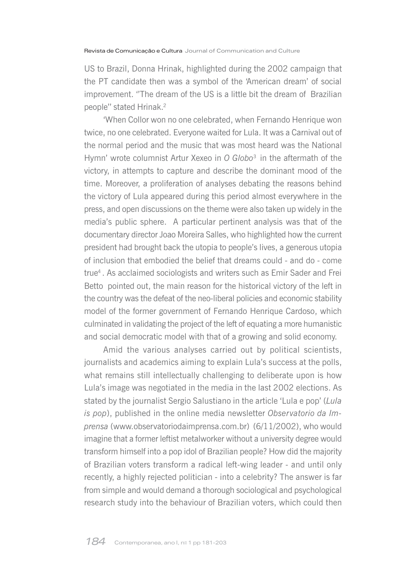US to Brazil, Donna Hrinak, highlighted during the 2002 campaign that the PT candidate then was a symbol of the 'American dream' of social improvement. "The dream of the US is a little bit the dream of Brazilian people" stated Hrinak.<sup>2</sup>

'When Collor won no one celebrated, when Fernando Henrique won twice, no one celebrated. Everyone waited for Lula. It was a Carnival out of the normal period and the music that was most heard was the National Hymn' wrote columnist Artur Xexeo in O Globo<sup>3</sup> in the aftermath of the victory, in attempts to capture and describe the dominant mood of the time. Moreover, a proliferation of analyses debating the reasons behind the victory of Lula appeared during this period almost everywhere in the press, and open discussions on the theme were also taken up widely in the media's public sphere. A particular pertinent analysis was that of the documentary director Joao Moreira Salles, who highlighted how the current president had brought back the utopia to people's lives, a generous utopia of inclusion that embodied the belief that dreams could - and do - come true<sup>4</sup>. As acclaimed sociologists and writers such as Emir Sader and Frei Betto pointed out, the main reason for the historical victory of the left in the country was the defeat of the neo-liberal policies and economic stability model of the former government of Fernando Henrique Cardoso, which culminated in validating the project of the left of equating a more humanistic and social democratic model with that of a growing and solid economy.

Amid the various analyses carried out by political scientists, journalists and academics aiming to explain Lula's success at the polls, what remains still intellectually challenging to deliberate upon is how Lula's image was negotiated in the media in the last 2002 elections. As stated by the journalist Sergio Salustiano in the article 'Lula e pop' (Lula is pop), published in the online media newsletter Observatorio da Imprensa (www.observatoriodaimprensa.com.br) (6/11/2002), who would imagine that a former leftist metalworker without a university degree would transform himself into a pop idol of Brazilian people? How did the majority of Brazilian voters transform a radical left-wing leader - and until only recently, a highly rejected politician - into a celebrity? The answer is far from simple and would demand a thorough sociological and psychological research study into the behaviour of Brazilian voters, which could then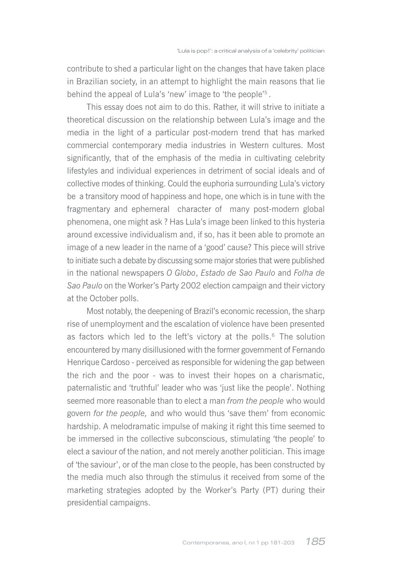contribute to shed a particular light on the changes that have taken place in Brazilian society, in an attempt to highlight the main reasons that lie behind the appeal of Lula's 'new' image to 'the people'<sup>5</sup>.

This essay does not aim to do this. Rather, it will strive to initiate a theoretical discussion on the relationship between Lula's image and the media in the light of a particular post-modern trend that has marked commercial contemporary media industries in Western cultures. Most significantly, that of the emphasis of the media in cultivating celebrity lifestyles and individual experiences in detriment of social ideals and of collective modes of thinking. Could the euphoria surrounding Lula's victory be a transitory mood of happiness and hope, one which is in tune with the fragmentary and ephemeral character of many post-modern global phenomena, one might ask? Has Lula's image been linked to this hysteria around excessive individualism and, if so, has it been able to promote an image of a new leader in the name of a 'good' cause? This piece will strive to initiate such a debate by discussing some major stories that were published in the national newspapers O Globo, Estado de Sao Paulo and Folha de Sao Paulo on the Worker's Party 2002 election campaign and their victory at the October polls.

Most notably, the deepening of Brazil's economic recession, the sharp rise of unemployment and the escalation of violence have been presented as factors which led to the left's victory at the polls.<sup>6</sup> The solution encountered by many disillusioned with the former government of Fernando Henrique Cardoso - perceived as responsible for widening the gap between the rich and the poor - was to invest their hopes on a charismatic. paternalistic and 'truthful' leader who was 'just like the people'. Nothing seemed more reasonable than to elect a man from the people who would govern for the people, and who would thus 'save them' from economic hardship. A melodramatic impulse of making it right this time seemed to be immersed in the collective subconscious, stimulating 'the people' to elect a saviour of the nation, and not merely another politician. This image of 'the saviour', or of the man close to the people, has been constructed by the media much also through the stimulus it received from some of the marketing strategies adopted by the Worker's Party (PT) during their presidential campaigns.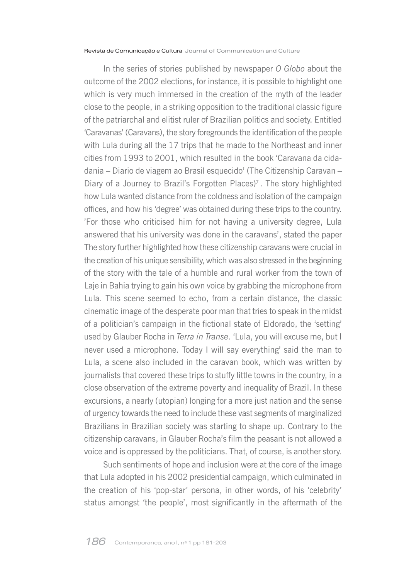In the series of stories published by newspaper O Globo about the outcome of the 2002 elections, for instance, it is possible to highlight one which is very much immersed in the creation of the myth of the leader close to the people, in a striking opposition to the traditional classic figure of the patriarchal and elitist ruler of Brazilian politics and society. Entitled 'Caravanas' (Caravans), the story foregrounds the identification of the people with Lula during all the 17 trips that he made to the Northeast and inner cities from 1993 to 2001, which resulted in the book 'Caravana da cidadania – Diario de viagem ao Brasil esquecido' (The Citizenship Caravan – Diary of a Journey to Brazil's Forgotten Places)<sup>7</sup>. The story highlighted how Lula wanted distance from the coldness and isolation of the campaign offices, and how his 'degree' was obtained during these trips to the country. 'For those who criticised him for not having a university degree. Lula answered that his university was done in the caravans', stated the paper The story further highlighted how these citizenship caravans were crucial in the creation of his unique sensibility, which was also stressed in the beginning of the story with the tale of a humble and rural worker from the town of Laje in Bahia trying to gain his own voice by grabbing the microphone from Lula. This scene seemed to echo, from a certain distance, the classic cinematic image of the desperate poor man that tries to speak in the midst of a politician's campaign in the fictional state of Eldorado, the 'setting' used by Glauber Rocha in Terra in Transe. 'Lula, you will excuse me, but I never used a microphone. Today I will say everything' said the man to Lula, a scene also included in the caravan book, which was written by journalists that covered these trips to stuffy little towns in the country, in a close observation of the extreme poverty and inequality of Brazil. In these excursions, a nearly (utopian) longing for a more just nation and the sense of urgency towards the need to include these vast segments of marginalized Brazilians in Brazilian society was starting to shape up. Contrary to the citizenship caravans, in Glauber Rocha's film the peasant is not allowed a voice and is oppressed by the politicians. That, of course, is another story.

Such sentiments of hope and inclusion were at the core of the image that Lula adopted in his 2002 presidential campaign, which culminated in the creation of his 'pop-star' persona, in other words, of his 'celebrity' status amongst 'the people', most significantly in the aftermath of the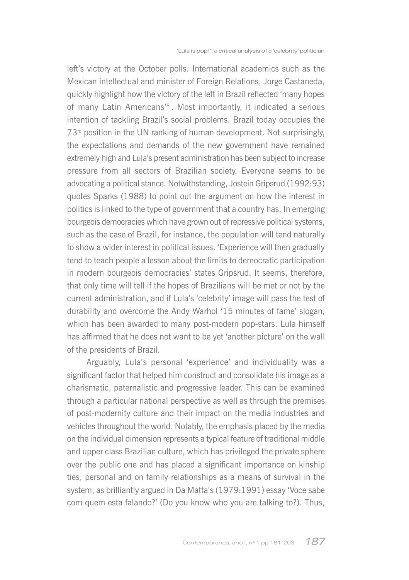left's victory at the October polls. International academics such as the Mexican intellectual and minister of Foreign Relations, Jorge Castaneda, quickly highlight how the victory of the left in Brazil reflected 'many hopes of many Latin Americans'<sup>8</sup>. Most importantly, it indicated a serious intention of tackling Brazil's social problems. Brazil today occupies the 73<sup>rd</sup> position in the UN ranking of human development. Not surprisingly, the expectations and demands of the new government have remained extremely high and Lula's present administration has been subject to increase pressure from all sectors of Brazilian society. Everyone seems to be advocating a political stance. Notwithstanding, Jostein Gripsrud (1992:93) quotes Sparks (1988) to point out the argument on how the interest in politics is linked to the type of government that a country has. In emerging bourgeois democracies which have grown out of repressive political systems. such as the case of Brazil, for instance, the population will tend naturally to show a wider interest in political issues. 'Experience will then gradually tend to teach people a lesson about the limits to democratic participation in modern bourgeois democracies' states Gripsrud. It seems, therefore, that only time will tell if the hopes of Brazilians will be met or not by the current administration, and if Lula's 'celebrity' image will pass the test of durability and overcome the Andy Warhol '15 minutes of fame' slogan, which has been awarded to many post-modern pop-stars. Lula himself has affirmed that he does not want to be yet 'another picture' on the wall of the presidents of Brazil.

Arguably, Lula's personal 'experience' and individuality was a significant factor that helped him construct and consolidate his image as a charismatic, paternalistic and progressive leader. This can be examined through a particular national perspective as well as through the premises of post-modernity culture and their impact on the media industries and vehicles throughout the world. Notably, the emphasis placed by the media on the individual dimension represents a typical feature of traditional middle and upper class Brazilian culture, which has privileged the private sphere over the public one and has placed a significant importance on kinship ties, personal and on family relationships as a means of survival in the system, as brilliantly argued in Da Matta's (1979:1991) essay 'Voce sabe com quem esta falando?' (Do you know who you are talking to?). Thus,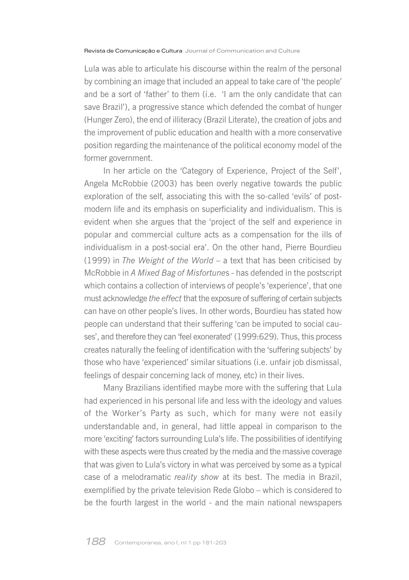Lula was able to articulate his discourse within the realm of the personal by combining an image that included an appeal to take care of 'the people' and be a sort of 'father' to them (i.e. 'I am the only candidate that can save Brazil'), a progressive stance which defended the combat of hunger (Hunger Zero), the end of illiteracy (Brazil Literate), the creation of jobs and the improvement of public education and health with a more conservative position regarding the maintenance of the political economy model of the former government.

In her article on the 'Category of Experience, Project of the Self', Angela McRobbie (2003) has been overly negative towards the public exploration of the self, associating this with the so-called 'evils' of postmodern life and its emphasis on superficiality and individualism. This is evident when she argues that the 'project of the self and experience in popular and commercial culture acts as a compensation for the ills of individualism in a post-social era'. On the other hand, Pierre Bourdieu (1999) in The Weight of the World – a text that has been criticised by McRobbie in A Mixed Bag of Misfortunes - has defended in the postscript which contains a collection of interviews of people's 'experience', that one must acknowledge the effect that the exposure of suffering of certain subjects can have on other people's lives. In other words, Bourdieu has stated how people can understand that their suffering 'can be imputed to social causes', and therefore they can 'feel exonerated' (1999:629). Thus, this process creates naturally the feeling of identification with the 'suffering subjects' by those who have 'experienced' similar situations (i.e. unfair job dismissal, feelings of despair concerning lack of money, etc) in their lives.

Many Brazilians identified maybe more with the suffering that Lula had experienced in his personal life and less with the ideology and values of the Worker's Party as such, which for many were not easily understandable and, in general, had little appeal in comparison to the more 'exciting' factors surrounding Lula's life. The possibilities of identifying with these aspects were thus created by the media and the massive coverage that was given to Lula's victory in what was perceived by some as a typical case of a melodramatic reality show at its best. The media in Brazil, exemplified by the private television Rede Globo - which is considered to be the fourth largest in the world - and the main national newspapers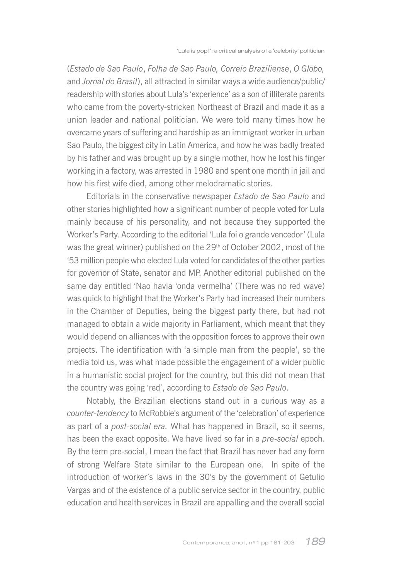(Estado de Sao Paulo, Folha de Sao Paulo, Correio Braziliense, O Globo, and Jornal do Brasil), all attracted in similar ways a wide audience/public/ readership with stories about Lula's 'experience' as a son of illiterate parents who came from the poverty-stricken Northeast of Brazil and made it as a union leader and national politician. We were told many times how he overcame years of suffering and hardship as an immigrant worker in urban Sao Paulo, the biggest city in Latin America, and how he was badly treated by his father and was brought up by a single mother, how he lost his finger working in a factory, was arrested in 1980 and spent one month in jail and how his first wife died, among other melodramatic stories.

Editorials in the conservative newspaper Estado de Sao Paulo and other stories highlighted how a significant number of people voted for Lula mainly because of his personality, and not because they supported the Worker's Party. According to the editorial 'Lula foi o grande vencedor' (Lula was the great winner) published on the 29<sup>th</sup> of October 2002, most of the '53 million people who elected Lula voted for candidates of the other parties for governor of State, senator and MP. Another editorial published on the same day entitled 'Nao havia 'onda vermelha' (There was no red wave) was quick to highlight that the Worker's Party had increased their numbers in the Chamber of Deputies, being the biggest party there, but had not managed to obtain a wide majority in Parliament, which meant that they would depend on alliances with the opposition forces to approve their own projects. The identification with 'a simple man from the people', so the media told us, was what made possible the engagement of a wider public in a humanistic social project for the country, but this did not mean that the country was going 'red', according to Estado de Sao Paulo.

Notably, the Brazilian elections stand out in a curious way as a counter-tendency to McRobbie's argument of the 'celebration' of experience as part of a post-social era. What has happened in Brazil, so it seems, has been the exact opposite. We have lived so far in a *pre-social* epoch. By the term pre-social, I mean the fact that Brazil has never had any form of strong Welfare State similar to the European one. In spite of the introduction of worker's laws in the 30's by the government of Getulio Vargas and of the existence of a public service sector in the country, public education and health services in Brazil are appalling and the overall social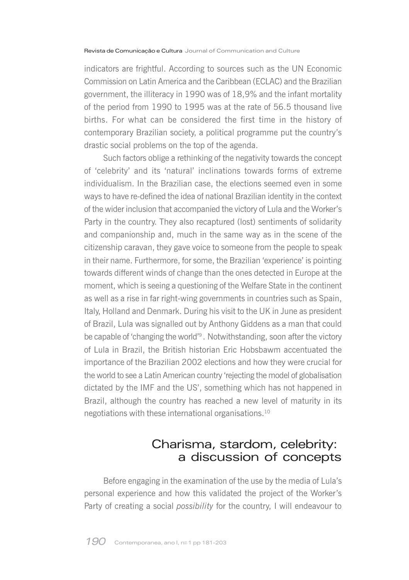indicators are frightful. According to sources such as the UN Economic Commission on Latin America and the Caribbean (FCLAC) and the Brazilian government, the illiteracy in 1990 was of 18,9% and the infant mortality of the period from 1990 to 1995 was at the rate of 56.5 thousand live births. For what can be considered the first time in the history of contemporary Brazilian society, a political programme put the country's drastic social problems on the top of the agenda.

Such factors oblige a rethinking of the negativity towards the concept of 'celebrity' and its 'natural' inclinations towards forms of extreme individualism. In the Brazilian case, the elections seemed even in some ways to have re-defined the idea of national Brazilian identity in the context of the wider inclusion that accompanied the victory of Lula and the Worker's Party in the country. They also recaptured (lost) sentiments of solidarity and companionship and, much in the same way as in the scene of the citizenship caravan, they gave voice to someone from the people to speak in their name. Furthermore, for some, the Brazilian 'experience' is pointing towards different winds of change than the ones detected in Europe at the moment, which is seeing a questioning of the Welfare State in the continent as well as a rise in far right-wing governments in countries such as Spain, Italy, Holland and Denmark. During his visit to the UK in June as president of Brazil, Lula was signalled out by Anthony Giddens as a man that could be capable of 'changing the world'<sup>9</sup>. Notwithstanding, soon after the victory of Lula in Brazil, the British historian Eric Hobsbawm accentuated the importance of the Brazilian 2002 elections and how they were crucial for the world to see a Latin American country 'rejecting the model of globalisation dictated by the IMF and the US', something which has not happened in Brazil, although the country has reached a new level of maturity in its negotiations with these international organisations.<sup>10</sup>

## Charisma, stardom, celebrity: a discussion of concepts

Before engaging in the examination of the use by the media of Lula's personal experience and how this validated the project of the Worker's Party of creating a social possibility for the country, I will endeavour to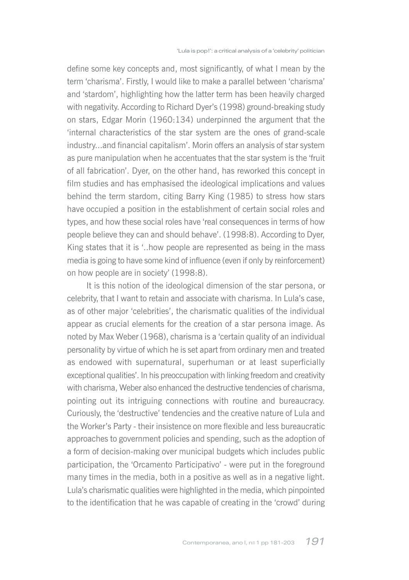define some key concepts and, most significantly, of what I mean by the term 'charisma'. Firstly, I would like to make a parallel between 'charisma' and 'stardom', highlighting how the latter term has been heavily charged with negativity. According to Richard Dyer's (1998) ground-breaking study on stars, Edgar Morin (1960:134) underpinned the argument that the 'internal characteristics of the star system are the ones of grand-scale industry...and financial capitalism'. Morin offers an analysis of star system as pure manipulation when he accentuates that the star system is the 'fruit of all fabrication'. Dyer, on the other hand, has reworked this concept in film studies and has emphasised the ideological implications and values behind the term stardom, citing Barry King (1985) to stress how stars have occupied a position in the establishment of certain social roles and types, and how these social roles have 'real consequences in terms of how people believe they can and should behave'. (1998:8). According to Dyer, King states that it is '..how people are represented as being in the mass media is going to have some kind of influence (even if only by reinforcement) on how people are in society' (1998:8).

It is this notion of the ideological dimension of the star persona, or celebrity, that I want to retain and associate with charisma. In Lula's case, as of other major 'celebrities', the charismatic qualities of the individual appear as crucial elements for the creation of a star persona image. As noted by Max Weber (1968), charisma is a 'certain quality of an individual personality by virtue of which he is set apart from ordinary men and treated as endowed with supernatural, superhuman or at least superficially exceptional qualities'. In his preoccupation with linking freedom and creativity with charisma. Weber also enhanced the destructive tendencies of charisma. pointing out its intriguing connections with routine and bureaucracy. Curiously, the 'destructive' tendencies and the creative nature of Lula and the Worker's Party - their insistence on more flexible and less bureaucratic approaches to government policies and spending, such as the adoption of a form of decision-making over municipal budgets which includes public participation, the 'Orcamento Participativo' - were put in the foreground many times in the media, both in a positive as well as in a negative light. Lula's charismatic qualities were highlighted in the media, which pinpointed to the identification that he was capable of creating in the 'crowd' during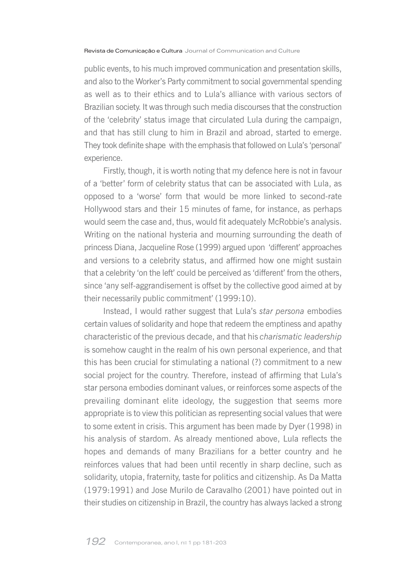public events, to his much improved communication and presentation skills, and also to the Worker's Party commitment to social governmental spending as well as to their ethics and to Lula's alliance with various sectors of Brazilian society. It was through such media discourses that the construction of the 'celebrity' status image that circulated Lula during the campaign, and that has still clung to him in Brazil and abroad, started to emerge. They took definite shape with the emphasis that followed on Lula's 'personal' experience.

Firstly, though, it is worth noting that my defence here is not in favour of a 'better' form of celebrity status that can be associated with Lula, as opposed to a 'worse' form that would be more linked to second-rate Hollywood stars and their 15 minutes of fame, for instance, as perhaps would seem the case and, thus, would fit adequately McRobbie's analysis. Writing on the national hysteria and mourning surrounding the death of princess Diana, Jacqueline Rose (1999) argued upon 'different' approaches and versions to a celebrity status, and affirmed how one might sustain that a celebrity 'on the left' could be perceived as 'different' from the others, since 'any self-aggrandisement is offset by the collective good aimed at by their necessarily public commitment' (1999:10).

Instead, I would rather suggest that Lula's star persona embodies certain values of solidarity and hope that redeem the emptiness and apathy characteristic of the previous decade, and that his charismatic leadership is somehow caught in the realm of his own personal experience, and that this has been crucial for stimulating a national (?) commitment to a new social project for the country. Therefore, instead of affirming that Lula's star persona embodies dominant values, or reinforces some aspects of the prevailing dominant elite ideology, the suggestion that seems more appropriate is to view this politician as representing social values that were to some extent in crisis. This argument has been made by Dyer (1998) in his analysis of stardom. As already mentioned above, Lula reflects the hopes and demands of many Brazilians for a better country and he reinforces values that had been until recently in sharp decline, such as solidarity, utopia, fraternity, taste for politics and citizenship. As Da Matta (1979:1991) and Jose Murilo de Caravalho (2001) have pointed out in their studies on citizenship in Brazil, the country has always lacked a strong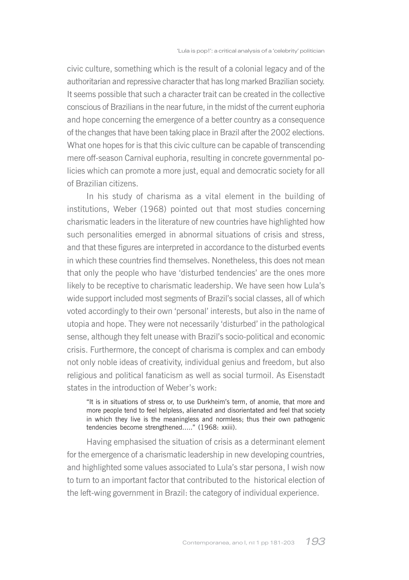civic culture, something which is the result of a colonial legacy and of the authoritarian and repressive character that has long marked Brazilian society. It seems possible that such a character trait can be created in the collective conscious of Brazilians in the near future, in the midst of the current euphoria and hope concerning the emergence of a better country as a consequence of the changes that have been taking place in Brazil after the 2002 elections. What one hopes for is that this civic culture can be capable of transcending mere off-season Carnival euphoria, resulting in concrete governmental policies which can promote a more just, equal and democratic society for all of Brazilian citizens

In his study of charisma as a vital element in the building of institutions, Weber (1968) pointed out that most studies concerning charismatic leaders in the literature of new countries have highlighted how such personalities emerged in abnormal situations of crisis and stress, and that these figures are interpreted in accordance to the disturbed events in which these countries find themselves. Nonetheless, this does not mean that only the people who have 'disturbed tendencies' are the ones more likely to be receptive to charismatic leadership. We have seen how Lula's wide support included most segments of Brazil's social classes, all of which voted accordingly to their own 'personal' interests, but also in the name of utopia and hope. They were not necessarily 'disturbed' in the pathological sense, although they felt unease with Brazil's socio-political and economic crisis. Furthermore, the concept of charisma is complex and can embody not only noble ideas of creativity, individual genius and freedom, but also religious and political fanaticism as well as social turmoil. As Eisenstadt states in the introduction of Weber's work.

"It is in situations of stress or, to use Durkheim's term, of anomie, that more and more people tend to feel helpless, alienated and disorientated and feel that society in which they live is the meaningless and normless; thus their own pathogenic tendencies become strengthened....." (1968: xxiii).

Having emphasised the situation of crisis as a determinant element for the emergence of a charismatic leadership in new developing countries, and highlighted some values associated to Lula's star persona, I wish now to turn to an important factor that contributed to the historical election of the left-wing government in Brazil: the category of individual experience.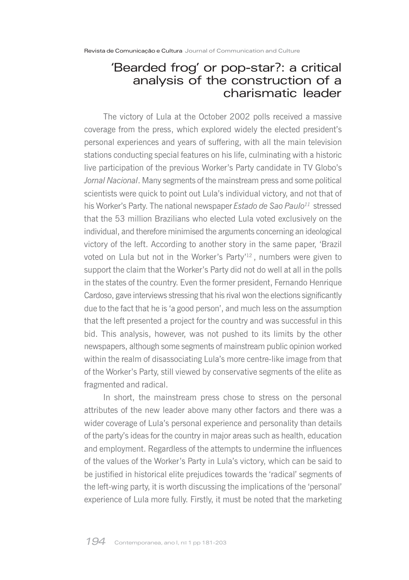### 'Bearded frog' or pop-star?: a critical analysis of the construction of a charismatic leader

The victory of Lula at the October 2002 polls received a massive coverage from the press, which explored widely the elected president's personal experiences and years of suffering, with all the main television stations conducting special features on his life, culminating with a historic live participation of the previous Worker's Party candidate in TV Globo's Jornal Nacional. Many segments of the mainstream press and some political scientists were quick to point out Lula's individual victory, and not that of his Worker's Party. The national newspaper Estado de Sao Paulo<sup>11</sup> stressed that the 53 million Brazilians who elected Lula voted exclusively on the individual, and therefore minimised the arguments concerning an ideological victory of the left. According to another story in the same paper, 'Brazil voted on Lula but not in the Worker's Party<sup>12</sup>, numbers were given to support the claim that the Worker's Party did not do well at all in the polls in the states of the country. Even the former president, Fernando Henrique Cardoso, gave interviews stressing that his rival won the elections significantly due to the fact that he is 'a good person', and much less on the assumption that the left presented a project for the country and was successful in this bid. This analysis, however, was not pushed to its limits by the other newspapers, although some segments of mainstream public opinion worked within the realm of disassociating Lula's more centre-like image from that of the Worker's Party, still viewed by conservative segments of the elite as fragmented and radical.

In short, the mainstream press chose to stress on the personal attributes of the new leader above many other factors and there was a wider coverage of Lula's personal experience and personality than details of the party's ideas for the country in major areas such as health, education and employment. Regardless of the attempts to undermine the influences of the values of the Worker's Party in Lula's victory, which can be said to be justified in historical elite prejudices towards the 'radical' segments of the left-wing party, it is worth discussing the implications of the 'personal' experience of Lula more fully. Firstly, it must be noted that the marketing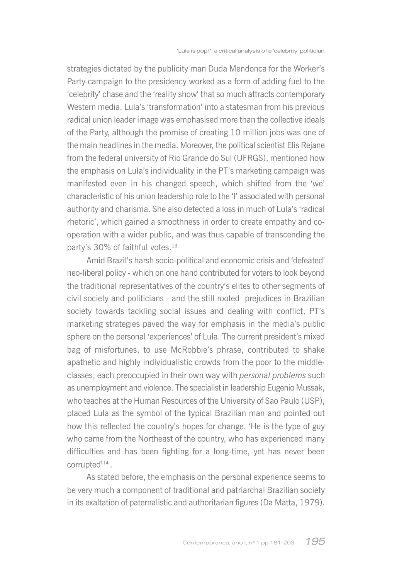strategies dictated by the publicity man Duda Mendonca for the Worker's Party campaign to the presidency worked as a form of adding fuel to the 'celebrity' chase and the 'reality show' that so much attracts contemporary Western media. Lula's 'transformation' into a statesman from his previous radical union leader image was emphasised more than the collective ideals of the Party, although the promise of creating 10 million jobs was one of the main headlines in the media. Moreover, the political scientist Elis Rejane from the federal university of Rio Grande do Sul (UFRGS), mentioned how the emphasis on Lula's individuality in the PT's marketing campaign was manifested even in his changed speech, which shifted from the 'we' characteristic of his union leadership role to the 'I' associated with personal authority and charisma. She also detected a loss in much of Lula's 'radical rhetoric', which gained a smoothness in order to create empathy and cooperation with a wider public, and was thus capable of transcending the party's 30% of faithful votes.<sup>13</sup>

Amid Brazil's harsh socio-political and economic crisis and 'defeated' neo-liberal policy - which on one hand contributed for voters to look beyond the traditional representatives of the country's elites to other segments of civil society and politicians - and the still rooted prejudices in Brazilian society towards tackling social issues and dealing with conflict, PT's marketing strategies paved the way for emphasis in the media's public sphere on the personal 'experiences' of Lula. The current president's mixed bag of misfortunes, to use McRobbie's phrase, contributed to shake apathetic and highly individualistic crowds from the poor to the middleclasses, each preoccupied in their own way with personal problems such as unemployment and violence. The specialist in leadership Eugenio Mussak, who teaches at the Human Resources of the University of Sao Paulo (USP). placed Lula as the symbol of the typical Brazilian man and pointed out how this reflected the country's hopes for change. 'He is the type of guy who came from the Northeast of the country, who has experienced many difficulties and has been fighting for a long-time, yet has never been corrupted'<sup>14</sup>.

As stated before, the emphasis on the personal experience seems to be very much a component of traditional and patriarchal Brazilian society in its exaltation of paternalistic and authoritarian figures (Da Matta, 1979).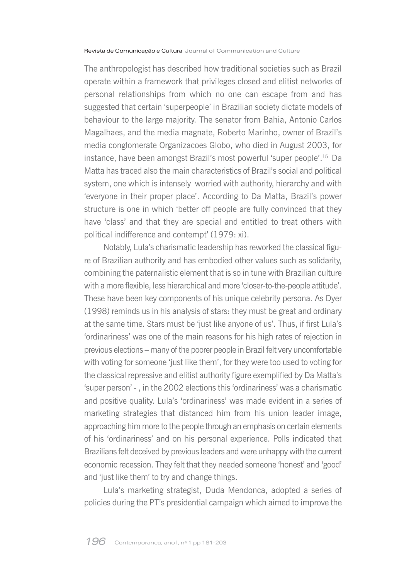The anthropologist has described how traditional societies such as Brazil operate within a framework that privileges closed and elitist networks of personal relationships from which no one can escape from and has suggested that certain 'superpeople' in Brazilian society dictate models of behaviour to the large majority. The senator from Bahia, Antonio Carlos Magalhaes, and the media magnate, Roberto Marinho, owner of Brazil's media conglomerate Organizacoes Globo, who died in August 2003, for instance, have been amongst Brazil's most powerful 'super people'.<sup>15</sup> Da Matta has traced also the main characteristics of Brazil's social and political system, one which is intensely worried with authority, hierarchy and with 'everyone in their proper place'. According to Da Matta, Brazil's power structure is one in which 'better off people are fully convinced that they have 'class' and that they are special and entitled to treat others with political indifference and contempt' (1979: xi).

Notably, Lula's charismatic leadership has reworked the classical figure of Brazilian authority and has embodied other values such as solidarity, combining the paternalistic element that is so in tune with Brazilian culture with a more flexible, less hierarchical and more 'closer-to-the-people attitude'. These have been key components of his unique celebrity persona. As Dyer (1998) reminds us in his analysis of stars: they must be great and ordinary at the same time. Stars must be 'just like anyone of us'. Thus, if first Lula's 'ordinariness' was one of the main reasons for his high rates of rejection in previous elections – many of the poorer people in Brazil felt very uncomfortable with voting for someone 'just like them', for they were too used to voting for the classical repressive and elitist authority figure exemplified by Da Matta's 'super person' -, in the 2002 elections this 'ordinariness' was a charismatic and positive quality. Lula's 'ordinariness' was made evident in a series of marketing strategies that distanced him from his union leader image, approaching him more to the people through an emphasis on certain elements of his 'ordinariness' and on his personal experience. Polls indicated that Brazilians felt deceived by previous leaders and were unhappy with the current economic recession. They felt that they needed someone 'honest' and 'good' and 'just like them' to try and change things.

Lula's marketing strategist, Duda Mendonca, adopted a series of policies during the PT's presidential campaign which aimed to improve the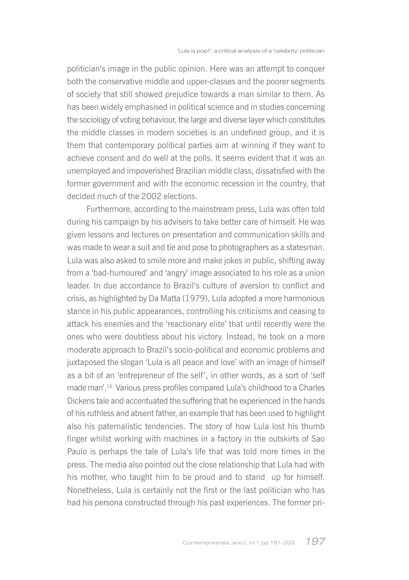politician's image in the public opinion. Here was an attempt to conquer both the conservative middle and upper-classes and the poorer segments of society that still showed prejudice towards a man similar to them. As has been widely emphasised in political science and in studies concerning the sociology of voting behaviour, the large and diverse layer which constitutes the middle classes in modern societies is an undefined group, and it is them that contemporary political parties aim at winning if they want to achieve consent and do well at the polls. It seems evident that it was an unemploved and impoverished Brazilian middle class, dissatisfied with the former government and with the economic recession in the country, that decided much of the 2002 elections.

Furthermore, according to the mainstream press, Lula was often told during his campaign by his advisers to take better care of himself. He was given lessons and lectures on presentation and communication skills and was made to wear a suit and tie and pose to photographers as a statesman. Lula was also asked to smile more and make jokes in public, shifting away from a 'bad-humoured' and 'angry' image associated to his role as a union leader. In due accordance to Brazil's culture of aversion to conflict and crisis, as highlighted by Da Matta (1979), Lula adopted a more harmonious stance in his public appearances, controlling his criticisms and ceasing to attack his enemies and the 'reactionary elite' that until recently were the ones who were doubtless about his victory. Instead, he took on a more moderate approach to Brazil's socio-political and economic problems and juxtaposed the slogan 'Lula is all peace and love' with an image of himself as a bit of an 'entrepreneur of the self', in other words, as a sort of 'self made man'.<sup>16</sup> Various press profiles compared Lula's childhood to a Charles Dickens tale and accentuated the suffering that he experienced in the hands of his ruthless and absent father, an example that has been used to highlight also his paternalistic tendencies. The story of how Lula lost his thumb finger whilst working with machines in a factory in the outskirts of Sao Paulo is perhaps the tale of Lula's life that was told more times in the press. The media also pointed out the close relationship that Lula had with his mother, who taught him to be proud and to stand up for himself. Nonetheless, Lula is certainly not the first or the last politician who has had his persona constructed through his past experiences. The former pri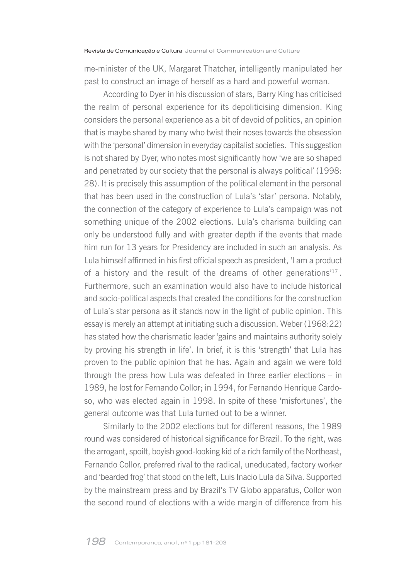me-minister of the UK, Margaret Thatcher, intelligently manipulated her past to construct an image of herself as a hard and powerful woman.

According to Dyer in his discussion of stars, Barry King has criticised the realm of personal experience for its depoliticising dimension. King considers the personal experience as a bit of devoid of politics, an opinion that is maybe shared by many who twist their noses towards the obsession with the 'personal' dimension in everyday capitalist societies. This suggestion is not shared by Dyer, who notes most significantly how 'we are so shaped and penetrated by our society that the personal is always political' (1998: 28). It is precisely this assumption of the political element in the personal that has been used in the construction of Lula's 'star' persona. Notably. the connection of the category of experience to Lula's campaign was not something unique of the 2002 elections. Lula's charisma building can only be understood fully and with greater depth if the events that made him run for 13 years for Presidency are included in such an analysis. As Lula himself affirmed in his first official speech as president. 'I am a product of a history and the result of the dreams of other generations<sup>117</sup>. Furthermore, such an examination would also have to include historical and socio-political aspects that created the conditions for the construction of Lula's star persona as it stands now in the light of public opinion. This essay is merely an attempt at initiating such a discussion. Weber (1968:22) has stated how the charismatic leader 'gains and maintains authority solely by proving his strength in life'. In brief, it is this 'strength' that Lula has proven to the public opinion that he has. Again and again we were told through the press how Lula was defeated in three earlier elections  $-$  in 1989, he lost for Fernando Collor: in 1994, for Fernando Henrique Cardoso, who was elected again in 1998. In spite of these 'misfortunes', the general outcome was that Lula turned out to be a winner.

Similarly to the 2002 elections but for different reasons, the 1989 round was considered of historical significance for Brazil. To the right, was the arrogant, spoilt, boyish good-looking kid of a rich family of the Northeast, Fernando Collor, preferred rival to the radical, uneducated, factory worker and 'bearded frog' that stood on the left, Luis Inacio Lula da Silva. Supported by the mainstream press and by Brazil's TV Globo apparatus, Collor won the second round of elections with a wide margin of difference from his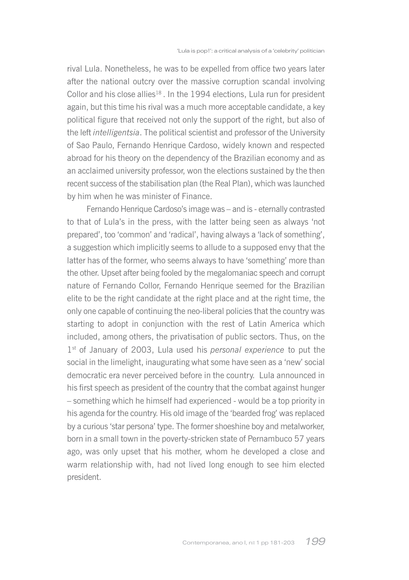rival Lula. Nonetheless, he was to be expelled from office two years later after the national outcry over the massive corruption scandal involving Collor and his close allies<sup>18</sup>. In the 1994 elections, Lula run for president again, but this time his rival was a much more acceptable candidate, a key political figure that received not only the support of the right, but also of the left intelligentsia. The political scientist and professor of the University of Sao Paulo, Fernando Henrique Cardoso, widely known and respected abroad for his theory on the dependency of the Brazilian economy and as an acclaimed university professor, won the elections sustained by the then recent success of the stabilisation plan (the Real Plan), which was launched by him when he was minister of Finance.

Fernando Henrique Cardoso's image was - and is - eternally contrasted to that of Lula's in the press, with the latter being seen as always 'not prepared', too 'common' and 'radical', having always a 'lack of something', a suggestion which implicitly seems to allude to a supposed envy that the latter has of the former, who seems always to have 'something' more than the other. Upset after being fooled by the megalomaniac speech and corrupt nature of Fernando Collor, Fernando Henrique seemed for the Brazilian elite to be the right candidate at the right place and at the right time, the only one capable of continuing the neo-liberal policies that the country was starting to adopt in conjunction with the rest of Latin America which included, among others, the privatisation of public sectors. Thus, on the 1<sup>st</sup> of January of 2003, Lula used his personal experience to put the social in the limelight, inaugurating what some have seen as a 'new' social democratic era never perceived before in the country. Lula announced in his first speech as president of the country that the combat against hunger - something which he himself had experienced - would be a top priority in his agenda for the country. His old image of the 'bearded frog' was replaced by a curious 'star persona' type. The former shoeshine boy and metalworker, born in a small town in the poverty-stricken state of Pernambuco 57 years ago, was only upset that his mother, whom he developed a close and warm relationship with, had not lived long enough to see him elected president.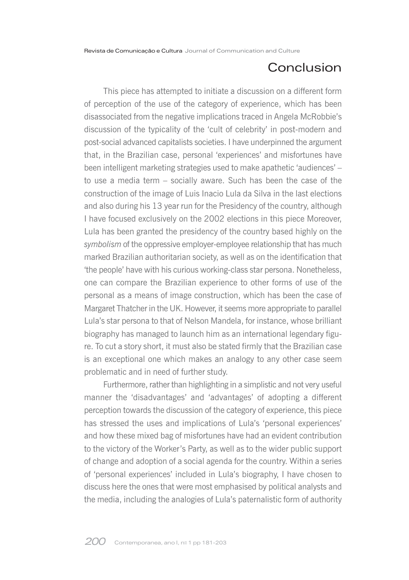## Conclusion

This piece has attempted to initiate a discussion on a different form of perception of the use of the category of experience, which has been disassociated from the negative implications traced in Angela McRobbie's discussion of the typicality of the 'cult of celebrity' in post-modern and post-social advanced capitalists societies. I have underpinned the argument that, in the Brazilian case, personal 'experiences' and misfortunes have been intelligent marketing strategies used to make apathetic 'audiences' – to use a media term – socially aware. Such has been the case of the construction of the image of Luis Inacio Lula da Silva in the last elections and also during his 13 year run for the Presidency of the country, although I have focused exclusively on the 2002 elections in this piece Moreover, Lula has been granted the presidency of the country based highly on the symbolism of the oppressive employer-employee relationship that has much marked Brazilian authoritarian society, as well as on the identification that 'the people' have with his curious working-class star persona. Nonetheless, one can compare the Brazilian experience to other forms of use of the personal as a means of image construction, which has been the case of Margaret Thatcher in the UK. However, it seems more appropriate to parallel Lula's star persona to that of Nelson Mandela, for instance, whose brilliant biography has managed to launch him as an international legendary figure. To cut a story short, it must also be stated firmly that the Brazilian case is an exceptional one which makes an analogy to any other case seem problematic and in need of further study.

Furthermore, rather than highlighting in a simplistic and not very useful manner the 'disadvantages' and 'advantages' of adopting a different perception towards the discussion of the category of experience, this piece has stressed the uses and implications of Lula's 'personal experiences' and how these mixed bag of misfortunes have had an evident contribution to the victory of the Worker's Party, as well as to the wider public support of change and adoption of a social agenda for the country. Within a series of 'personal experiences' included in Lula's biography, I have chosen to discuss here the ones that were most emphasised by political analysts and the media, including the analogies of Lula's paternalistic form of authority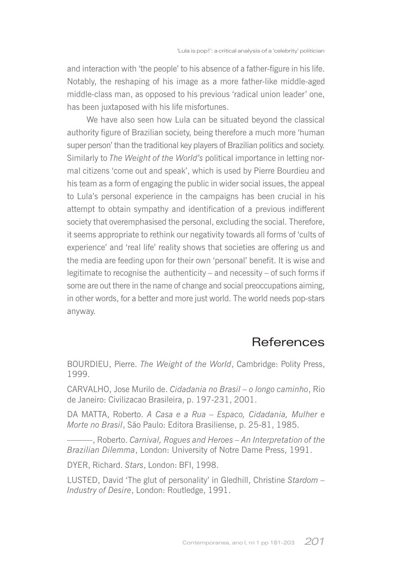and interaction with 'the people' to his absence of a father-figure in his life. Notably, the reshaping of his image as a more father-like middle-aged middle-class man, as opposed to his previous 'radical union leader' one, has been juxtaposed with his life misfortunes.

We have also seen how Lula can be situated beyond the classical authority figure of Brazilian society, being therefore a much more 'human super person' than the traditional key players of Brazilian politics and society. Similarly to *The Weight of the World's* political importance in letting normal citizens 'come out and speak', which is used by Pierre Bourdieu and his team as a form of engaging the public in wider social issues, the appeal to Lula's personal experience in the campaigns has been crucial in his attempt to obtain sympathy and identification of a previous indifferent society that overemphasised the personal, excluding the social. Therefore, it seems appropriate to rethink our negativity towards all forms of 'cults of experience' and 'real life' reality shows that societies are offering us and the media are feeding upon for their own 'personal' benefit. It is wise and legitimate to recognise the authenticity - and necessity - of such forms if some are out there in the name of change and social preoccupations aiming, in other words, for a better and more just world. The world needs pop-stars anyway.

### **References**

BOURDIEU, Pierre. The Weight of the World, Cambridge: Polity Press, 1999.

CARVALHO, Jose Murilo de. Cidadania no Brasil - o longo caminho, Rio de Janeiro: Civilizacao Brasileira, p. 197-231, 2001.

DA MATTA, Roberto. A Casa e a Rua - Espaco, Cidadania, Mulher e Morte no Brasil, São Paulo: Editora Brasiliense, p. 25-81, 1985.

-, Roberto, Carnival, Rogues and Heroes - An Interpretation of the Brazilian Dilemma, London: University of Notre Dame Press, 1991.

DYER, Richard. Stars, London: BFI, 1998.

LUSTED, David 'The glut of personality' in Gledhill, Christine Stardom -Industry of Desire, London: Routledge, 1991.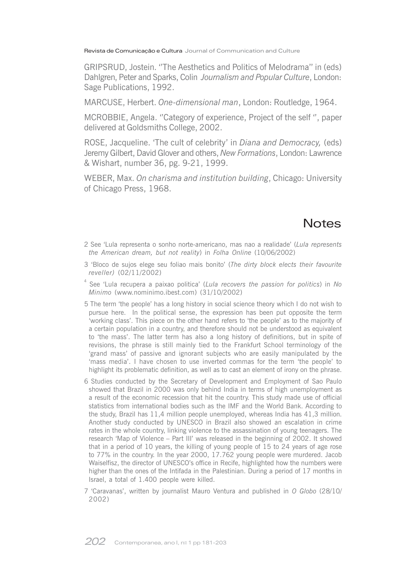GRIPSRUD, Jostein. "The Aesthetics and Politics of Melodrama" in (eds) Dahlgren, Peter and Sparks, Colin Journalism and Popular Culture, London: Sage Publications, 1992.

MARCUSE, Herbert, One-dimensional man, London: Routledge, 1964.

MCROBBIE, Angela. "Category of experience, Project of the self", paper delivered at Goldsmiths College, 2002.

ROSE, Jacqueline. 'The cult of celebrity' in Diana and Democracy, (eds) Jeremy Gilbert, David Glover and others, New Formations, London: Lawrence & Wishart, number 36, pg. 9-21, 1999.

WEBER, Max. On charisma and institution building, Chicago: University of Chicago Press, 1968.

## **Notes**

- 2 See 'Lula representa o sonho norte-americano, mas nao a realidade' (Lula represents the American dream, but not reality) in Folha Online (10/06/2002)
- 3 'Bloco de sujos elege seu foliao mais bonito' (The dirty block elects their favourite reveller) (02/11/2002)
- See 'Lula recupera a paixao politica' (Lula recovers the passion for politics) in No Minimo (www.nominimo.ibest.com) (31/10/2002)
- 5 The term 'the people' has a long history in social science theory which I do not wish to pursue here. In the political sense, the expression has been put opposite the term 'working class'. This piece on the other hand refers to 'the people' as to the majority of a certain population in a country, and therefore should not be understood as equivalent to 'the mass'. The latter term has also a long history of definitions, but in spite of revisions, the phrase is still mainly tied to the Frankfurt School terminology of the 'grand mass' of passive and ignorant subjects who are easily manipulated by the 'mass media'. I have chosen to use inverted commas for the term 'the people' to highlight its problematic definition, as well as to cast an element of irony on the phrase.
- 6 Studies conducted by the Secretary of Development and Employment of Sao Paulo showed that Brazil in 2000 was only behind India in terms of high unemployment as a result of the economic recession that hit the country. This study made use of official statistics from international bodies such as the IMF and the World Bank. According to the study, Brazil has 11,4 million people unemployed, whereas India has 41,3 million. Another study conducted by UNESCO in Brazil also showed an escalation in crime rates in the whole country, linking violence to the assassination of young teenagers. The research 'Map of Violence - Part III' was released in the beginning of 2002. It showed that in a period of 10 years, the killing of young people of 15 to 24 years of age rose to 77% in the country. In the year 2000, 17.762 young people were murdered. Jacob Waiselfisz, the director of UNESCO's office in Recife, highlighted how the numbers were higher than the ones of the Intifada in the Palestinian. During a period of 17 months in Israel, a total of 1.400 people were killed.

7 'Caravanas', written by journalist Mauro Ventura and published in O Globo (28/10/ 2002)